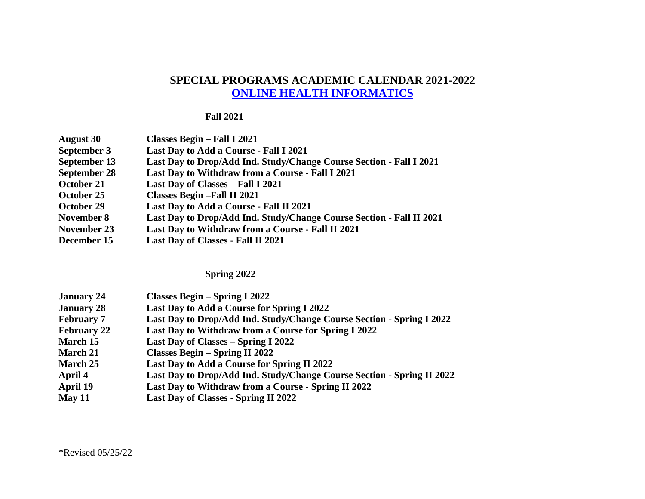## **SPECIAL PROGRAMS ACADEMIC CALENDAR 2021-2022 [ONLINE HEALTH INFORMATICS](http://catalog.adelphi.edu/preview_program.php?catoid=21&poid=10116&returnto=1145)**

## **Fall 2021**

| <b>August 30</b>    | Classes Begin - Fall I 2021                                          |
|---------------------|----------------------------------------------------------------------|
| September 3         | Last Day to Add a Course - Fall I 2021                               |
| September 13        | Last Day to Drop/Add Ind. Study/Change Course Section - Fall I 2021  |
| <b>September 28</b> | Last Day to Withdraw from a Course - Fall I 2021                     |
| October 21          | Last Day of Classes - Fall I 2021                                    |
| October 25          | <b>Classes Begin-Fall II 2021</b>                                    |
| October 29          | Last Day to Add a Course - Fall II 2021                              |
| November 8          | Last Day to Drop/Add Ind. Study/Change Course Section - Fall II 2021 |
| November 23         | Last Day to Withdraw from a Course - Fall II 2021                    |
| December 15         | Last Day of Classes - Fall II 2021                                   |

## **Spring 2022**

| <b>January 24</b>  | Classes Begin – Spring I 2022                                          |
|--------------------|------------------------------------------------------------------------|
| <b>January 28</b>  | Last Day to Add a Course for Spring I 2022                             |
| <b>February 7</b>  | Last Day to Drop/Add Ind. Study/Change Course Section - Spring I 2022  |
| <b>February 22</b> | Last Day to Withdraw from a Course for Spring I 2022                   |
| March 15           | Last Day of Classes – Spring I 2022                                    |
| <b>March 21</b>    | <b>Classes Begin – Spring II 2022</b>                                  |
| <b>March 25</b>    | Last Day to Add a Course for Spring II 2022                            |
| April 4            | Last Day to Drop/Add Ind. Study/Change Course Section - Spring II 2022 |
| April 19           | Last Day to Withdraw from a Course - Spring II 2022                    |
| May 11             | <b>Last Day of Classes - Spring II 2022</b>                            |